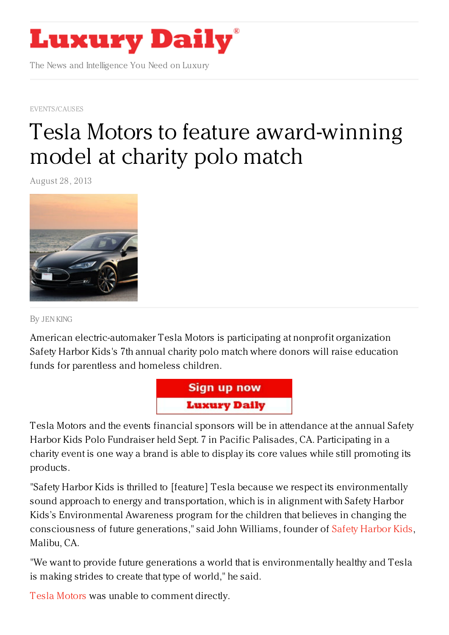

The News and Intelligence You Need on Luxury

[EVENTS/CAUSES](https://www.luxurydaily.com/category/news/events/)

# Tesla Motors to feature [award-winning](https://www.luxurydaily.com/tesla-motors-partners-with-california-based-charity-for-polo-fundraiser/) model at charity polo match

August 28, 2013



By JEN [KING](/author/jen-king)

American electric-automaker Tesla Motors is participating at nonprofit organization Safety Harbor Kids's 7th annual charity polo match where donors will raise education funds for parentless and homeless children.



Tesla Motors and the events financial sponsors will be in attendance at the annual Safety Harbor Kids Polo Fundraiser held Sept. 7 in Pacific Palisades, CA. Participating in a charity event is one way a brand is able to display its core values while still promoting its products.

"Safety Harbor Kids is thrilled to [feature] Tesla because we respect its environmentally sound approach to energy and transportation, which is in alignment with Safety Harbor Kids's Environmental Awareness program for the children that believes in changing the consciousness of future generations," said John Williams, founder of Safety [Harbor](http://safetyharborkids.org/) Kids, Malibu, CA.

"We want to provide future generations a world that is environmentally healthy and Tesla is making strides to create that type of world," he said.

Tesla [Motors](https://www.google.com/url?sa=t&rct=j&q=&esrc=s&source=web&cd=1&cad=rja&sqi=2&ved=0CCwQFjAA&url=http%3A%2F%2Fwww.teslamotors.com%2F&ei=feccUs6gFcTAsASLpIHYAQ&usg=AFQjCNGLdhkG66D2zS7pY-f5R0d9kSfS-w&sig2=6mbEat9d4Q98WIcyY9CbNg&bvm=bv.51156542,d.cWc) was unable to comment directly.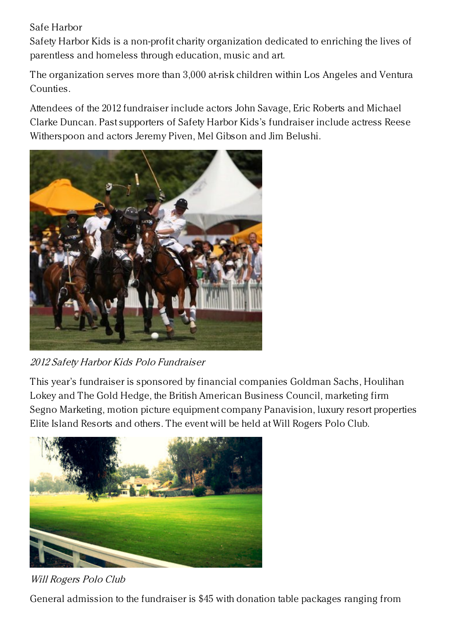## Safe Harbor

Safety Harbor Kids is a non-profit charity organization dedicated to enriching the lives of parentless and homeless through education, music and art.

The organization serves more than 3,000 at-risk children within Los Angeles and Ventura Counties.

Attendees of the 2012 fundraiser include actors John Savage, Eric Roberts and Michael Clarke Duncan. Past supporters of Safety Harbor Kids's fundraiser include actress Reese Witherspoon and actors Jeremy Piven, Mel Gibson and Jim Belushi.



2012 Safety Harbor Kids Polo Fundraiser

This year's fundraiser is sponsored by financial companies Goldman Sachs, Houlihan Lokey and The Gold Hedge, the British American Business Council, marketing firm Segno Marketing, motion picture equipment company Panavision, luxury resort properties Elite Island Resorts and others. The event will be held at Will Rogers Polo Club.



Will Rogers Polo Club

General admission to the fundraiser is \$45 with donation table packages ranging from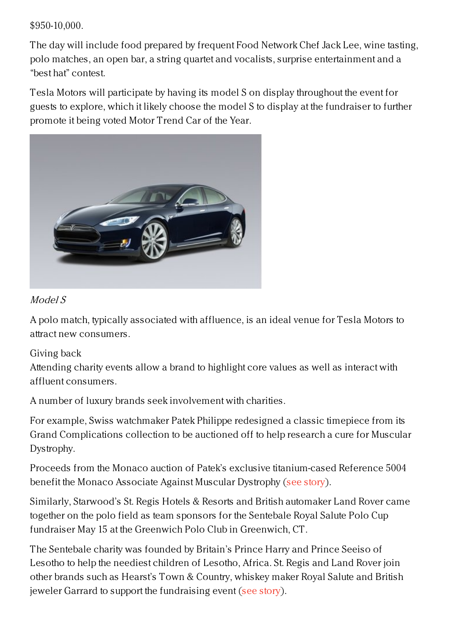#### \$950-10,000.

The day will include food prepared by frequent Food Network Chef Jack Lee, wine tasting, polo matches, an open bar, a string quartet and vocalists, surprise entertainment and a "best hat" contest.

Tesla Motors will participate by having its model S on display throughout the event for guests to explore, which it likely choose the model S to display at the fundraiser to further promote it being voted Motor Trend Car of the Year.



### Model S

A polo match, typically associated with affluence, is an ideal venue for Tesla Motors to attract new consumers.

## Giving back

Attending charity events allow a brand to highlight core values as well as interact with affluent consumers.

A number of luxury brands seek involvement with charities.

For example, Swiss watchmaker Patek Philippe redesigned a classic timepiece from its Grand Complications collection to be auctioned off to help research a cure for Muscular Dystrophy.

Proceeds from the Monaco auction of Patek's exclusive titanium-cased Reference 5004 benefit the Monaco Associate Against Muscular Dystrophy (see [story](https://www.luxurydaily.com/patek-philippe-redesigns-classic-timepiece-for-charity-auction/)).

Similarly, Starwood's St. Regis Hotels & Resorts and British automaker Land Rover came together on the polo field as team sponsors for the Sentebale Royal Salute Polo Cup fundraiser May 15 at the Greenwich Polo Club in Greenwich, CT.

The Sentebale charity was founded by Britain's Prince Harry and Prince Seeiso of Lesotho to help the neediest children of Lesotho, Africa. St. Regis and Land Rover join other brands such as Hearst's Town & Country, whiskey maker Royal Salute and British jeweler Garrard to support the fundraising event (see [story](https://www.luxurydaily.com/st-regis-land-rover-face-off-on-polo-field-for-charity-match/)).